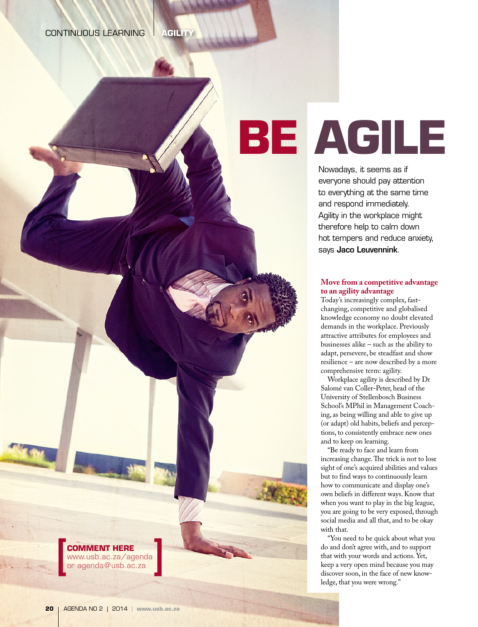# **BE AGILE**

Nowadays, it seems as if everyone should pay attention to everything at the same time and respond immediately. Agility in the workplace might therefore help to calm down hot tempers and reduce anxiety, says Jaco Leuvennink.

## **Move from a competitive advantage to an agility advantage**

Today's increasingly complex, fastchanging, competitive and globalised knowledge economy no doubt elevated demands in the workplace. Previously attractive attributes for employees and businesses alike – such as the ability to adapt, persevere, be steadfast and show resilience – are now described by a more comprehensive term: agility.

Workplace agility is described by Dr Salomé van Coller-Peter, head of the University of Stellenbosch Business School's MPhil in Management Coaching, as being willing and able to give up (or adapt) old habits, beliefs and perceptions, to consistently embrace new ones and to keep on learning.

"Be ready to face and learn from increasing change. The trick is not to lose sight of one's acquired abilities and values but to find ways to continuously learn how to communicate and display one's own beliefs in different ways. Know that when you want to play in the big league, you are going to be very exposed, through social media and all that, and to be okay with that.

"You need to be quick about what you do and don't agree with, and to support that with your words and actions. Yet, keep a very open mind because you may discover soon, in the face of new knowledge, that you were wrong."

**COMMENT HERE**  [www.usb.ac.za/agenda](http://www.usb.ac.za/agenda)